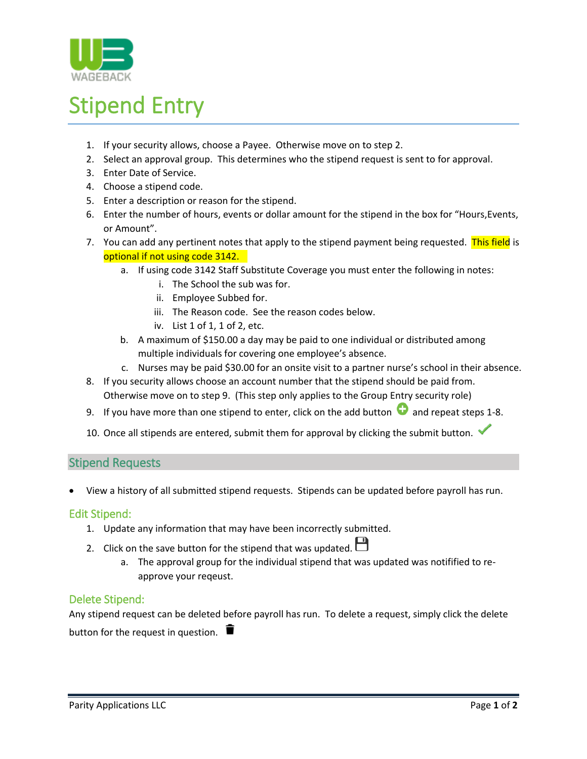

# Stipend Entry

- 1. If your security allows, choose a Payee. Otherwise move on to step 2.
- 2. Select an approval group. This determines who the stipend request is sent to for approval.
- 3. Enter Date of Service.
- 4. Choose a stipend code.
- 5. Enter a description or reason for the stipend.
- 6. Enter the number of hours, events or dollar amount for the stipend in the box for "Hours,Events, or Amount".
- 7. You can add any pertinent notes that apply to the stipend payment being requested. This field is optional if not using code 3142.
	- a. If using code 3142 Staff Substitute Coverage you must enter the following in notes:
		- i. The School the sub was for.
		- ii. Employee Subbed for.
		- iii. The Reason code. See the reason codes below.
		- iv. List 1 of 1, 1 of 2, etc.
	- b. A maximum of \$150.00 a day may be paid to one individual or distributed among multiple individuals for covering one employee's absence.
	- c. Nurses may be paid \$30.00 for an onsite visit to a partner nurse's school in their absence.
- 8. If you security allows choose an account number that the stipend should be paid from. Otherwise move on to step 9. (This step only applies to the Group Entry security role)
- 9. If you have more than one stipend to enter, click on the add button  $\bullet$  and repeat steps 1-8.
- 10. Once all stipends are entered, submit them for approval by clicking the submit button.

### Stipend Requests

View a history of all submitted stipend requests. Stipends can be updated before payroll has run.

#### Edit Stipend:

- 1. Update any information that may have been incorrectly submitted.
- 2. Click on the save button for the stipend that was updated.
	- a. The approval group for the individual stipend that was updated was notifified to reapprove your reqeust.

#### Delete Stipend:

Any stipend request can be deleted before payroll has run. To delete a request, simply click the delete button for the request in question.  $\blacksquare$